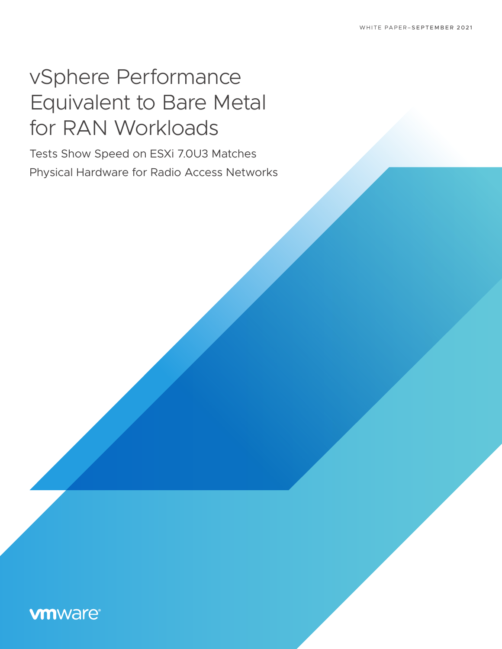# vSphere Performance Equivalent to Bare Metal for RAN Workloads

Tests Show Speed on ESXi 7.0U3 Matches Physical Hardware for Radio Access Networks

# **vmware®**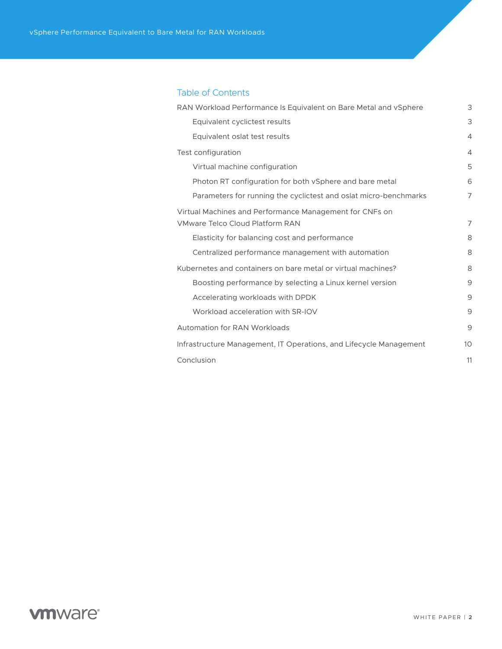| RAN Workload Performance Is Equivalent on Bare Metal and vSphere | 3              |
|------------------------------------------------------------------|----------------|
| Equivalent cyclictest results                                    | 3              |
| Equivalent oslat test results                                    | $\overline{4}$ |
| Test configuration                                               | $\overline{4}$ |
| Virtual machine configuration                                    | 5              |
| Photon RT configuration for both vSphere and bare metal          | 6              |
| Parameters for running the cyclictest and oslat micro-benchmarks | 7              |
| Virtual Machines and Performance Management for CNFs on          |                |
| <b>VMware Telco Cloud Platform RAN</b>                           | 7              |
| Elasticity for balancing cost and performance                    | 8              |
| Centralized performance management with automation               | 8              |
| Kubernetes and containers on bare metal or virtual machines?     | 8              |

[Boosting performance by selecting a Linux kernel version 9](#page-8-0) [Accelerating workloads with DPDK](#page-8-0) 9 [Workload acceleration with SR-IOV 9](#page-8-0)

[Automation for RAN Workloads](#page-8-0) and the state of the state of the state of the state of the state of the state of the state of the state of the state of the state of the state of the state of the state of the state of the sta [Infrastructure Management, IT Operations, and Lifecycle Management](#page-9-0) 10

[Conclusion 11](#page-10-0)

#### Table of Contents

# **vm**ware<sup>®</sup>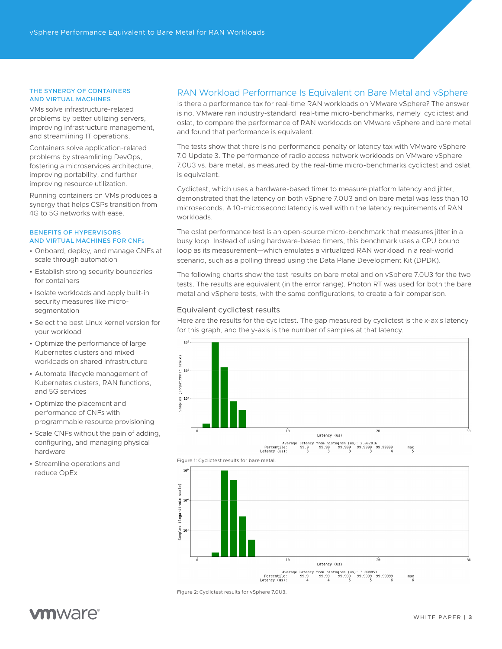#### <span id="page-2-0"></span>THE SYNERGY OF CONTAINERS AND VIRTUAL MACHINES

VMs solve infrastructure-related problems by better utilizing servers, improving infrastructure management, and streamlining IT operations.

Containers solve application-related problems by streamlining DevOps, fostering a microservices architecture, improving portability, and further improving resource utilization.

Running containers on VMs produces a synergy that helps CSPs transition from 4G to 5G networks with ease.

#### BENEFITS OF HYPERVISORS AND VIRTUAL MACHINES FOR CNFs

- Onboard, deploy, and manage CNFs at scale through automation
- Establish strong security boundaries for containers
- Isolate workloads and apply built-in security measures like microsegmentation
- Select the best Linux kernel version for your workload
- Optimize the performance of large Kubernetes clusters and mixed workloads on shared infrastructure
- Automate lifecycle management of Kubernetes clusters, RAN functions, and 5G services
- Optimize the placement and performance of CNFs with programmable resource provisioning
- Scale CNFs without the pain of adding, configuring, and managing physical hardware
- Streamline operations and reduce OpEx

### RAN Workload Performance Is Equivalent on Bare Metal and vSphere

Is there a performance tax for real-time RAN workloads on VMware vSphere? The answer is no. VMware ran industry-standard real-time micro-benchmarks, namely cyclictest and oslat, to compare the performance of RAN workloads on VMware vSphere and bare metal and found that performance is equivalent.

The tests show that there is no performance penalty or latency tax with VMware vSphere 7.0 Update 3. The performance of radio access network workloads on VMware vSphere 7.0U3 vs. bare metal, as measured by the real-time micro-benchmarks cyclictest and oslat, is equivalent.

Cyclictest, which uses a hardware-based timer to measure platform latency and jitter, demonstrated that the latency on both vSphere 7.0U3 and on bare metal was less than 10 microseconds. A 10-microsecond latency is well within the latency requirements of RAN workloads.

The oslat performance test is an open-source micro-benchmark that measures jitter in a busy loop. Instead of using hardware-based timers, this benchmark uses a CPU bound loop as its measurement—which emulates a virtualized RAN workload in a real-world scenario, such as a polling thread using the Data Plane Development Kit (DPDK).

The following charts show the test results on bare metal and on vSphere 7.0U3 for the two tests. The results are equivalent (in the error range). Photon RT was used for both the bare metal and vSphere tests, with the same configurations, to create a fair comparison.

#### Equivalent cyclictest results

Here are the results for the cyclictest. The gap measured by cyclictest is the x-axis latency for this graph, and the y-axis is the number of samples at that latency.







Figure 2: Cyclictest results for vSphere 7.0U3.

# **m**ware<sup>®</sup>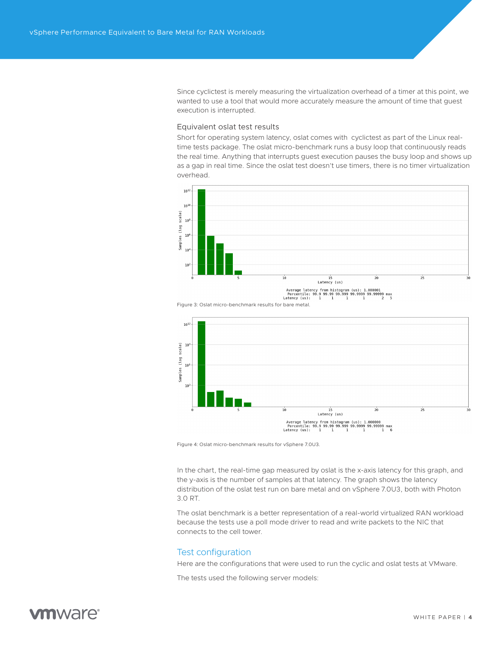<span id="page-3-0"></span>Since cyclictest is merely measuring the virtualization overhead of a timer at this point, we wanted to use a tool that would more accurately measure the amount of time that guest execution is interrupted.

#### Equivalent oslat test results

Short for operating system latency, oslat comes with cyclictest as part of the Linux realtime tests package. The oslat micro-benchmark runs a busy loop that continuously reads the real time. Anything that interrupts guest execution pauses the busy loop and shows up as a gap in real time. Since the oslat test doesn't use timers, there is no timer virtualization overhead.





Figure 3: Oslat micro-benchmark results for bare metal.



Figure 4: Oslat micro-benchmark results for vSphere 7.0U3.

In the chart, the real-time gap measured by oslat is the x-axis latency for this graph, and the y-axis is the number of samples at that latency. The graph shows the latency distribution of the oslat test run on bare metal and on vSphere 7.0U3, both with Photon 3.0 RT.

The oslat benchmark is a better representation of a real-world virtualized RAN workload because the tests use a poll mode driver to read and write packets to the NIC that connects to the cell tower.

#### Test configuration

Here are the configurations that were used to run the cyclic and oslat tests at VMware.

The tests used the following server models:

# *m*nware<sup>®</sup>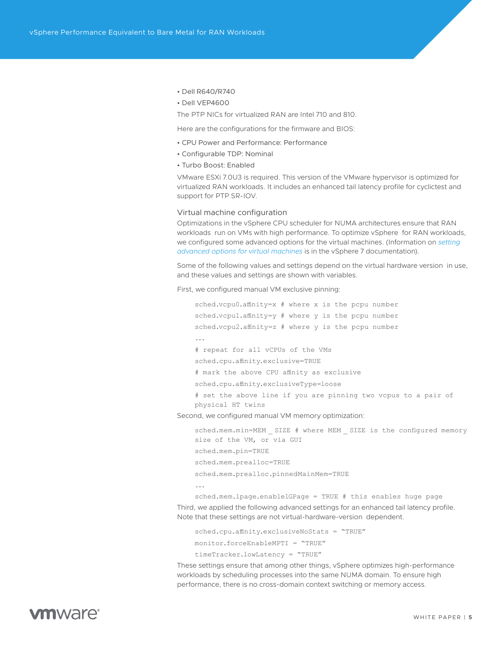- <span id="page-4-0"></span>• Dell R640/R740
- Dell VEP4600

The PTP NICs for virtualized RAN are Intel 710 and 810.

Here are the configurations for the firmware and BIOS:

- CPU Power and Performance: Performance
- Configurable TDP: Nominal
- Turbo Boost: Enabled

VMware ESXi 7.0U3 is required. This version of the VMware hypervisor is optimized for virtualized RAN workloads. It includes an enhanced tail latency profile for cyclictest and support for PTP SR-IOV.

#### Virtual machine configuration

Optimizations in the vSphere CPU scheduler for NUMA architectures ensure that RAN workloads run on VMs with high performance. To optimize vSphere for RAN workloads, we configured some advanced options for the virtual machines. (Information on *[setting](https://docs.vmware.com/en/VMware-vSphere/7.0/com.vmware.vsphere.vm_admin.doc/GUID-07A3D5C1-1262-4B67-B74D-548DA16BDCDF.html)  [advanced options for virtual machines](https://docs.vmware.com/en/VMware-vSphere/7.0/com.vmware.vsphere.vm_admin.doc/GUID-07A3D5C1-1262-4B67-B74D-548DA16BDCDF.html)* is in the vSphere 7 documentation).

Some of the following values and settings depend on the virtual hardware version in use, and these values and settings are shown with variables.

First, we configured manual VM exclusive pinning:

```
sched.vcpu0.affinity=x # where x is the pcpu number
    sched.vcpu1.affinity=y # where y is the pcpu number
    sched.vcpu2.affinity=z # where y is the pcpu number
    ...
    # repeat for all vCPUs of the VMs
    sched.cpu.affinity.exclusive=TRUE 
    # mark the above CPU affinity as exclusive
    sched.cpu.affinity.exclusiveType=loose 
    # set the above line if you are pinning two vcpus to a pair of 
    physical HT twins
Second, we configured manual VM memory optimization:
```
sched.mem.min=MEM SIZE # where MEM SIZE is the configured memory size of the VM, or via GUI sched.mem.pin=TRUE sched.mem.prealloc=TRUE sched.mem.prealloc.pinnedMainMem=TRUE ...

sched.mem.lpage.enable1GPage = TRUE # this enables huge page Third, we applied the following advanced settings for an enhanced tail latency profile.

Note that these settings are not virtual-hardware-version dependent.

sched.cpu.affinity.exclusiveNoStats = "TRUE" monitor.forceEnableMPTI = "TRUE" timeTracker.lowLatency = "TRUE"

These settings ensure that among other things, vSphere optimizes high-performance workloads by scheduling processes into the same NUMA domain. To ensure high performance, there is no cross-domain context switching or memory access.

# **vm**ware<sup>®</sup>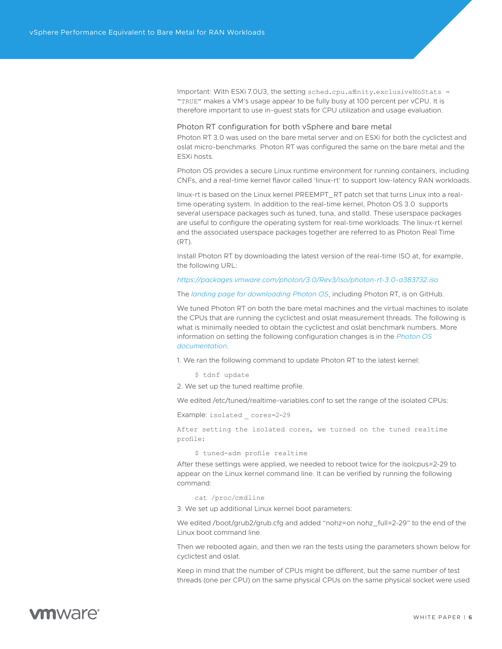<span id="page-5-0"></span>Important: With ESXi 7.0U3, the setting sched.cpu.affinity.exclusiveNoStats = "TRUE" makes a VM's usage appear to be fully busy at 100 percent per vCPU. It is therefore important to use in-guest stats for CPU utilization and usage evaluation.

#### Photon RT configuration for both vSphere and bare metal

Photon RT 3.0 was used on the bare metal server and on ESXi for both the cyclictest and oslat micro-benchmarks. Photon RT was configured the same on the bare metal and the ESXi hosts.

Photon OS provides a secure Linux runtime environment for running containers, including CNFs, and a real-time kernel flavor called 'linux-rt' to support low-latency RAN workloads.

linux-rt is based on the Linux kernel PREEMPT\_RT patch set that turns Linux into a realtime operating system. In addition to the real-time kernel, Photon OS 3.0 supports several userspace packages such as tuned, tuna, and stalld. These userspace packages are useful to configure the operating system for real-time workloads. The linux-rt kernel and the associated userspace packages together are referred to as Photon Real Time (RT).

Install Photon RT by downloading the latest version of the real-time ISO at, for example, the following URL:

#### *<https://packages.vmware.com/photon/3.0/Rev3/iso/photon-rt-3.0-a383732.iso>*

The *[landing page for downloading Photon OS](https://github.com/vmware/photon/wiki/Downloading-Photon-OS)*, including Photon RT, is on GitHub.

We tuned Photon RT on both the bare metal machines and the virtual machines to isolate the CPUs that are running the cyclictest and oslat measurement threads. The following is what is minimally needed to obtain the cyclictest and oslat benchmark numbers. More information on setting the following configuration changes is in the *[Photon OS](https://vmware.github.io/photon/docs/)  [documentation](https://vmware.github.io/photon/docs/)*.

1. We ran the following command to update Photon RT to the latest kernel:

\$ tdnf update

2. We set up the tuned realtime profile.

We edited /etc/tuned/realtime-variables.conf to set the range of the isolated CPUs:

Example: isolated cores=2-29

After setting the isolated cores, we turned on the tuned realtime profile:

\$ tuned-adm profile realtime

After these settings were applied, we needed to reboot twice for the isolcpus=2-29 to appear on the Linux kernel command line. It can be verified by running the following command:

cat /proc/cmdline

3. We set up additional Linux kernel boot parameters:

We edited /boot/grub2/grub.cfg and added "nohz=on nohz\_full=2-29" to the end of the Linux boot command line.

Then we rebooted again, and then we ran the tests using the parameters shown below for cyclictest and oslat.

Keep in mind that the number of CPUs might be different, but the same number of test threads (one per CPU) on the same physical CPUs on the same physical socket were used

# *m*mware<sup>®</sup>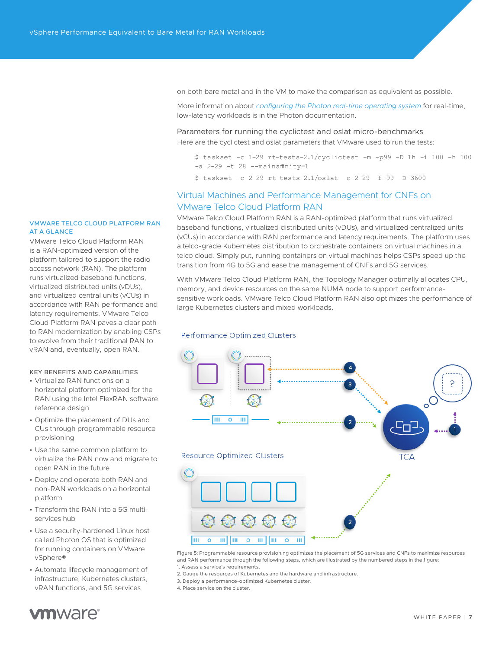<span id="page-6-0"></span>on both bare metal and in the VM to make the comparison as equivalent as possible.

More information about *[configuring the Photon real-time operating system](https://vmware.github.io/photon/docs/administration-guide/photon-real-time-operating-system/)* for real-time, low-latency workloads is in the Photon documentation.

Parameters for running the cyclictest and oslat micro-benchmarks Here are the cyclictest and oslat parameters that VMware used to run the tests:

- \$ taskset -c 1-29 rt-tests-2.1/cyclictest -m -p99 -D 1h -i 100 -h 100  $-a$  2-29  $-t$  28  $--$ mainaffinity=1
- \$ taskset -c 2-29 rt-tests-2.1/oslat -c 2-29 -f 99 -D 3600

### Virtual Machines and Performance Management for CNFs on VMware Telco Cloud Platform RAN

VMware Telco Cloud Platform RAN is a RAN-optimized platform that runs virtualized baseband functions, virtualized distributed units (vDUs), and virtualized centralized units (vCUs) in accordance with RAN performance and latency requirements. The platform uses a telco-grade Kubernetes distribution to orchestrate containers on virtual machines in a telco cloud. Simply put, running containers on virtual machines helps CSPs speed up the transition from 4G to 5G and ease the management of CNFs and 5G services.

With VMware Telco Cloud Platform RAN, the Topology Manager optimally allocates CPU, memory, and device resources on the same NUMA node to support performancesensitive workloads. VMware Telco Cloud Platform RAN also optimizes the performance of large Kubernetes clusters and mixed workloads.

#### **Performance Optimized Clusters**



Figure 5: Programmable resource provisioning optimizes the placement of 5G services and CNFs to maximize resources and RAN performance through the following steps, which are illustrated by the numbered steps in the figure: 1. Assess a service's requirements.

- 2. Gauge the resources of Kubernetes and the hardware and infrastructure.
- 3. Deploy a performance-optimized Kubernetes cluster.

4. Place service on the cluster.

#### VMWARE TELCO CLOUD PLATFORM RAN AT A GLANCE

VMware Telco Cloud Platform RAN is a RAN-optimized version of the platform tailored to support the radio access network (RAN). The platform runs virtualized baseband functions, virtualized distributed units (vDUs), and virtualized central units (vCUs) in accordance with RAN performance and latency requirements. VMware Telco Cloud Platform RAN paves a clear path to RAN modernization by enabling CSPs to evolve from their traditional RAN to vRAN and, eventually, open RAN.

#### KEY BENEFITS AND CAPABILITIES

- Virtualize RAN functions on a horizontal platform optimized for the RAN using the Intel FlexRAN software reference design
- Optimize the placement of DUs and CUs through programmable resource provisioning
- Use the same common platform to virtualize the RAN now and migrate to open RAN in the future
- Deploy and operate both RAN and non-RAN workloads on a horizontal platform
- Transform the RAN into a 5G multiservices hub
- Use a security-hardened Linux host called Photon OS that is optimized for running containers on VMware vSphere®
- Automate lifecycle management of infrastructure, Kubernetes clusters, vRAN functions, and 5G services

# **m**ware<sup>®</sup>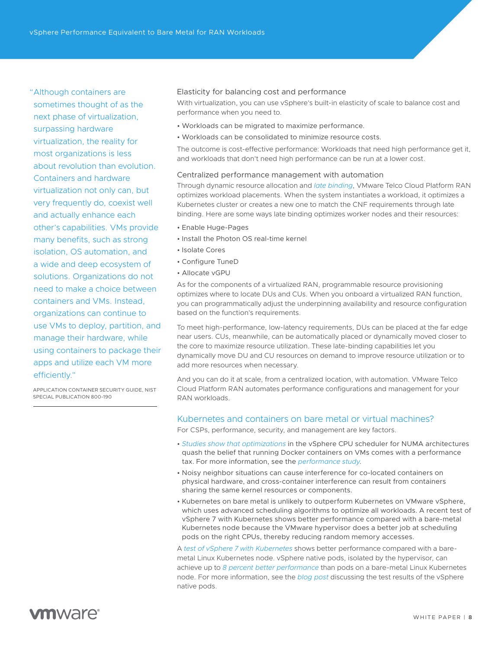<span id="page-7-0"></span>"Although containers are sometimes thought of as the next phase of virtualization, surpassing hardware virtualization, the reality for most organizations is less about revolution than evolution. Containers and hardware virtualization not only can, but very frequently do, coexist well and actually enhance each other's capabilities. VMs provide many benefits, such as strong isolation, OS automation, and a wide and deep ecosystem of solutions. Organizations do not need to make a choice between containers and VMs. Instead, organizations can continue to use VMs to deploy, partition, and manage their hardware, while using containers to package their apps and utilize each VM more efficiently."

APPLICATION CONTAINER SECURITY GUIDE, NIST SPECIAL PUBLICATION 800-190

### Elasticity for balancing cost and performance

With virtualization, you can use vSphere's built-in elasticity of scale to balance cost and performance when you need to.

- Workloads can be migrated to maximize performance.
- Workloads can be consolidated to minimize resource costs.

The outcome is cost-effective performance: Workloads that need high performance get it, and workloads that don't need high performance can be run at a lower cost.

### Centralized performance management with automation

Through dynamic resource allocation and *[late binding](https://blogs.vmware.com/telco/late-binding-automation/)*, VMware Telco Cloud Platform RAN optimizes workload placements. When the system instantiates a workload, it optimizes a Kubernetes cluster or creates a new one to match the CNF requirements through late binding. Here are some ways late binding optimizes worker nodes and their resources:

- Enable Huge-Pages
- Install the Photon OS real-time kernel
- Isolate Cores
- Configure TuneD
- Allocate vGPU

As for the components of a virtualized RAN, programmable resource provisioning optimizes where to locate DUs and CUs. When you onboard a virtualized RAN function, you can programmatically adjust the underpinning availability and resource configuration based on the function's requirements.

To meet high-performance, low-latency requirements, DUs can be placed at the far edge near users. CUs, meanwhile, can be automatically placed or dynamically moved closer to the core to maximize resource utilization. These late-binding capabilities let you dynamically move DU and CU resources on demand to improve resource utilization or to add more resources when necessary.

And you can do it at scale, from a centralized location, with automation. VMware Telco Cloud Platform RAN automates performance configurations and management for your RAN workloads.

### Kubernetes and containers on bare metal or virtual machines?

For CSPs, performance, security, and management are key factors.

- *[Studies show that optimizations](https://www.vmware.com/content/dam/digitalmarketing/vmware/en/pdf/techpaper/performance/docker-vsphere65-weathervane-perf.pdf)* in the vSphere CPU scheduler for NUMA architectures quash the belief that running Docker containers on VMs comes with a performance tax. For more information, see the *[performance study](https://www.vmware.com/content/dam/digitalmarketing/vmware/en/pdf/techpaper/performance/docker-vsphere65-weathervane-perf.pdf)*.
- Noisy neighbor situations can cause interference for co-located containers on physical hardware, and cross-container interference can result from containers sharing the same kernel resources or components.
- Kubernetes on bare metal is unlikely to outperform Kubernetes on VMware vSphere, which uses advanced scheduling algorithms to optimize all workloads. A recent test of vSphere 7 with Kubernetes shows better performance compared with a bare-metal Kubernetes node because the VMware hypervisor does a better job at scheduling pods on the right CPUs, thereby reducing random memory accesses.

A *[test of vSphere 7 with Kubernetes](https://blogs.vmware.com/performance/2019/10/how-does-project-pacific-deliver-8-better-performance-than-bare-metal.html)* shows better performance compared with a baremetal Linux Kubernetes node. vSphere native pods, isolated by the hypervisor, can achieve up to *[8 percent better performance](https://blogs.vmware.com/performance/2019/10/how-does-project-pacific-deliver-8-better-performance-than-bare-metal.html)* than pods on a bare-metal Linux Kubernetes node. For more information, see the *[blog post](https://blogs.vmware.com/performance/2019/10/how-does-project-pacific-deliver-8-better-performance-than-bare-metal.html)* discussing the test results of the vSphere native pods.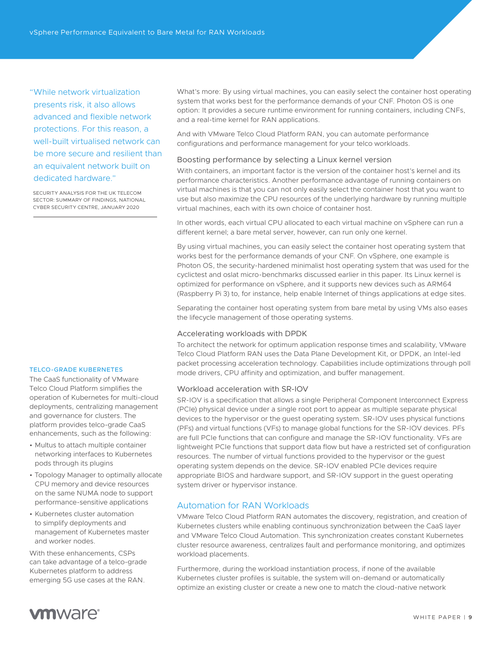<span id="page-8-0"></span>"While network virtualization presents risk, it also allows advanced and flexible network protections. For this reason, a well-built virtualised network can be more secure and resilient than an equivalent network built on dedicated hardware."

SECURITY ANALYSIS FOR THE UK TELECOM SECTOR: SUMMARY OF FINDINGS, NATIONAL CYBER SECURITY CENTRE, JANUARY 2020

#### TELCO-GRADE KUBERNETES

The CaaS functionality of VMware Telco Cloud Platform simplifies the operation of Kubernetes for multi-cloud deployments, centralizing management and governance for clusters. The platform provides telco-grade CaaS enhancements, such as the following:

- Multus to attach multiple container networking interfaces to Kubernetes pods through its plugins
- Topology Manager to optimally allocate CPU memory and device resources on the same NUMA node to support performance-sensitive applications
- Kubernetes cluster automation to simplify deployments and management of Kubernetes master and worker nodes.

With these enhancements, CSPs can take advantage of a telco-grade Kubernetes platform to address emerging 5G use cases at the RAN.

What's more: By using virtual machines, you can easily select the container host operating system that works best for the performance demands of your CNF. Photon OS is one option: It provides a secure runtime environment for running containers, including CNFs, and a real-time kernel for RAN applications.

And with VMware Telco Cloud Platform RAN, you can automate performance configurations and performance management for your telco workloads.

#### Boosting performance by selecting a Linux kernel version

With containers, an important factor is the version of the container host's kernel and its performance characteristics. Another performance advantage of running containers on virtual machines is that you can not only easily select the container host that you want to use but also maximize the CPU resources of the underlying hardware by running multiple virtual machines, each with its own choice of container host.

In other words, each virtual CPU allocated to each virtual machine on vSphere can run a different kernel; a bare metal server, however, can run only one kernel.

By using virtual machines, you can easily select the container host operating system that works best for the performance demands of your CNF. On vSphere, one example is Photon OS, the security-hardened minimalist host operating system that was used for the cyclictest and oslat micro-benchmarks discussed earlier in this paper. Its Linux kernel is optimized for performance on vSphere, and it supports new devices such as ARM64 (Raspberry Pi 3) to, for instance, help enable Internet of things applications at edge sites.

Separating the container host operating system from bare metal by using VMs also eases the lifecycle management of those operating systems.

#### Accelerating workloads with DPDK

To architect the network for optimum application response times and scalability, VMware Telco Cloud Platform RAN uses the Data Plane Development Kit, or DPDK, an Intel-led packet processing acceleration technology. Capabilities include optimizations through poll mode drivers, CPU affinity and optimization, and buffer management.

#### Workload acceleration with SR-IOV

SR-IOV is a specification that allows a single Peripheral Component Interconnect Express (PCIe) physical device under a single root port to appear as multiple separate physical devices to the hypervisor or the guest operating system. SR-IOV uses physical functions (PFs) and virtual functions (VFs) to manage global functions for the SR-IOV devices. PFs are full PCIe functions that can configure and manage the SR-IOV functionality. VFs are lightweight PCIe functions that support data flow but have a restricted set of configuration resources. The number of virtual functions provided to the hypervisor or the guest operating system depends on the device. SR-IOV enabled PCIe devices require appropriate BIOS and hardware support, and SR-IOV support in the guest operating system driver or hypervisor instance.

### Automation for RAN Workloads

VMware Telco Cloud Platform RAN automates the discovery, registration, and creation of Kubernetes clusters while enabling continuous synchronization between the CaaS layer and VMware Telco Cloud Automation. This synchronization creates constant Kubernetes cluster resource awareness, centralizes fault and performance monitoring, and optimizes workload placements.

Furthermore, during the workload instantiation process, if none of the available Kubernetes cluster profiles is suitable, the system will on-demand or automatically optimize an existing cluster or create a new one to match the cloud-native network

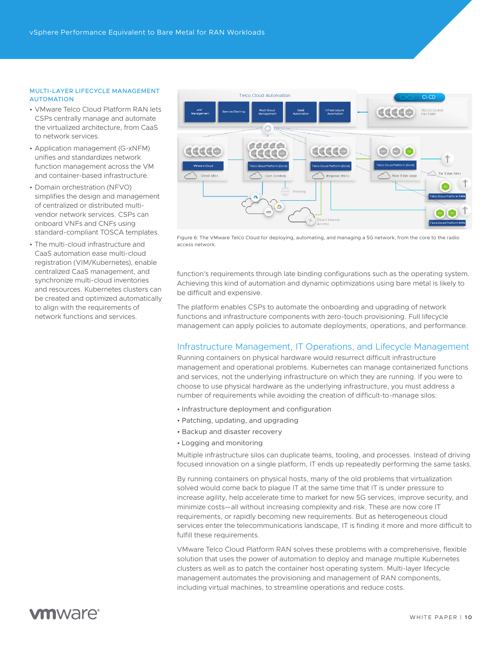#### <span id="page-9-0"></span>MULTI-LAYER LIFECYCLE MANAGEMENT **AUTOMATION**

- VMware Telco Cloud Platform RAN lets CSPs centrally manage and automate the virtualized architecture, from CaaS to network services.
- Application management (G-xNFM) unifies and standardizes network function management across the VM and container-based infrastructure.
- Domain orchestration (NFVO) simplifies the design and management of centralized or distributed multivendor network services. CSPs can onboard VNFs and CNFs using standard-compliant TOSCA templates.
- The multi-cloud infrastructure and CaaS automation ease multi-cloud registration (VIM/Kubernetes), enable centralized CaaS management, and synchronize multi-cloud inventories and resources. Kubernetes clusters can be created and optimized automatically to align with the requirements of network functions and services.



Figure 6: The VMware Telco Cloud for deploying, automating, and managing a 5G network, from the core to the radio access network.

function's requirements through late binding configurations such as the operating system. Achieving this kind of automation and dynamic optimizations using bare metal is likely to be difficult and expensive.

The platform enables CSPs to automate the onboarding and upgrading of network functions and infrastructure components with zero-touch provisioning. Full lifecycle management can apply policies to automate deployments, operations, and performance.

### Infrastructure Management, IT Operations, and Lifecycle Management

Running containers on physical hardware would resurrect difficult infrastructure management and operational problems. Kubernetes can manage containerized functions and services, not the underlying infrastructure on which they are running. If you were to choose to use physical hardware as the underlying infrastructure, you must address a number of requirements while avoiding the creation of difficult-to-manage silos:

- Infrastructure deployment and configuration
- Patching, updating, and upgrading
- Backup and disaster recovery
- Logging and monitoring

Multiple infrastructure silos can duplicate teams, tooling, and processes. Instead of driving focused innovation on a single platform, IT ends up repeatedly performing the same tasks.

By running containers on physical hosts, many of the old problems that virtualization solved would come back to plague IT at the same time that IT is under pressure to increase agility, help accelerate time to market for new 5G services, improve security, and minimize costs—all without increasing complexity and risk. These are now core IT requirements, or rapidly becoming new requirements. But as heterogeneous cloud services enter the telecommunications landscape, IT is finding it more and more difficult to fulfill these requirements.

VMware Telco Cloud Platform RAN solves these problems with a comprehensive, flexible solution that uses the power of automation to deploy and manage multiple Kubernetes clusters as well as to patch the container host operating system. Multi-layer lifecycle management automates the provisioning and management of RAN components, including virtual machines, to streamline operations and reduce costs.

# *mware*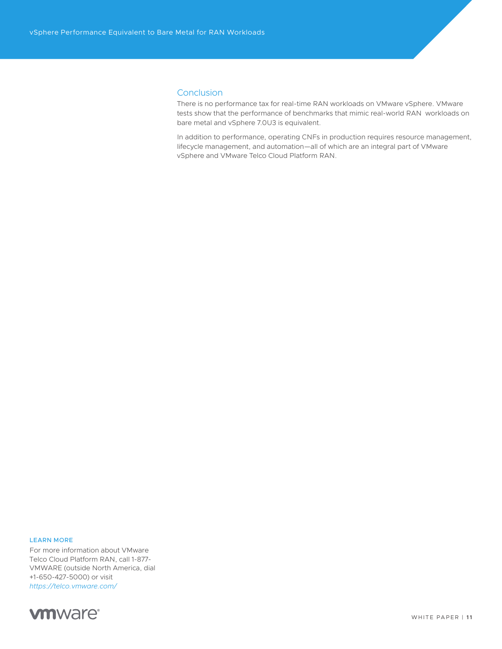### <span id="page-10-0"></span>**Conclusion**

There is no performance tax for real-time RAN workloads on VMware vSphere. VMware tests show that the performance of benchmarks that mimic real-world RAN workloads on bare metal and vSphere 7.0U3 is equivalent.

In addition to performance, operating CNFs in production requires resource management, lifecycle management, and automation—all of which are an integral part of VMware vSphere and VMware Telco Cloud Platform RAN.

#### LEARN MORE

For more information about VMware Telco Cloud Platform RAN, call 1-877- VMWARE (outside North America, dial +1-650-427-5000) or visit *<https://telco.vmware.com/>*